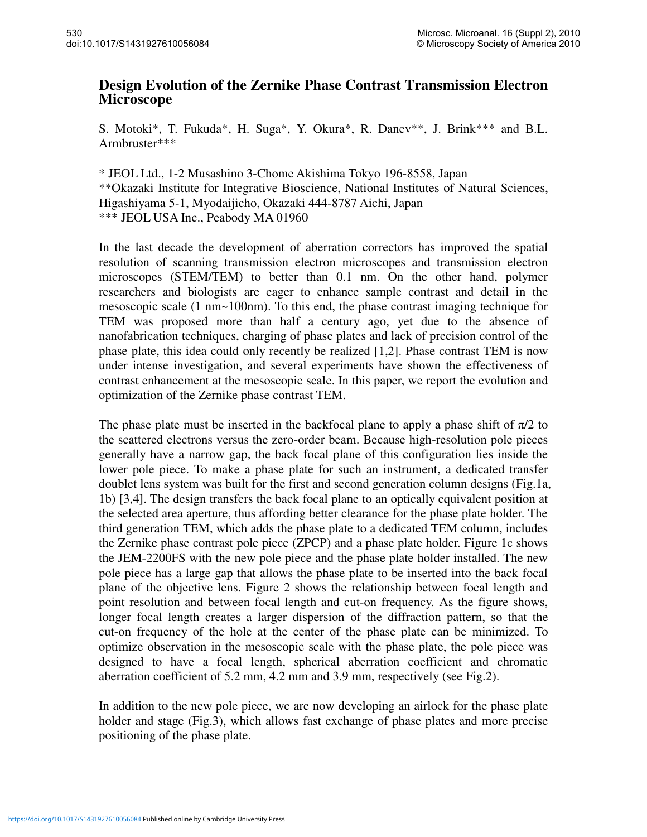## **Design Evolution of the Zernike Phase Contrast Transmission Electron Microscope**

S. Motoki\*, T. Fukuda\*, H. Suga\*, Y. Okura\*, R. Danev\*\*, J. Brink\*\*\* and B.L. Armbruster\*\*\*

\* JEOL Ltd., 1-2 Musashino 3-Chome Akishima Tokyo 196-8558, Japan \*\*Okazaki Institute for Integrative Bioscience, National Institutes of Natural Sciences, Higashiyama 5-1, Myodaijicho, Okazaki 444-8787 Aichi, Japan \*\*\* JEOL USA Inc., Peabody MA 01960

In the last decade the development of aberration correctors has improved the spatial resolution of scanning transmission electron microscopes and transmission electron microscopes (STEM/TEM) to better than 0.1 nm. On the other hand, polymer researchers and biologists are eager to enhance sample contrast and detail in the mesoscopic scale (1 nm~100nm). To this end, the phase contrast imaging technique for TEM was proposed more than half a century ago, yet due to the absence of nanofabrication techniques, charging of phase plates and lack of precision control of the phase plate, this idea could only recently be realized [1,2]. Phase contrast TEM is now under intense investigation, and several experiments have shown the effectiveness of contrast enhancement at the mesoscopic scale. In this paper, we report the evolution and optimization of the Zernike phase contrast TEM.

The phase plate must be inserted in the backfocal plane to apply a phase shift of  $\pi/2$  to the scattered electrons versus the zero-order beam. Because high-resolution pole pieces generally have a narrow gap, the back focal plane of this configuration lies inside the lower pole piece. To make a phase plate for such an instrument, a dedicated transfer doublet lens system was built for the first and second generation column designs (Fig.1a, 1b) [3,4]. The design transfers the back focal plane to an optically equivalent position at the selected area aperture, thus affording better clearance for the phase plate holder. The third generation TEM, which adds the phase plate to a dedicated TEM column, includes the Zernike phase contrast pole piece (ZPCP) and a phase plate holder. Figure 1c shows the JEM-2200FS with the new pole piece and the phase plate holder installed. The new pole piece has a large gap that allows the phase plate to be inserted into the back focal plane of the objective lens. Figure 2 shows the relationship between focal length and point resolution and between focal length and cut-on frequency. As the figure shows, longer focal length creates a larger dispersion of the diffraction pattern, so that the cut-on frequency of the hole at the center of the phase plate can be minimized. To optimize observation in the mesoscopic scale with the phase plate, the pole piece was designed to have a focal length, spherical aberration coefficient and chromatic aberration coefficient of 5.2 mm, 4.2 mm and 3.9 mm, respectively (see Fig.2).

In addition to the new pole piece, we are now developing an airlock for the phase plate holder and stage (Fig.3), which allows fast exchange of phase plates and more precise positioning of the phase plate.